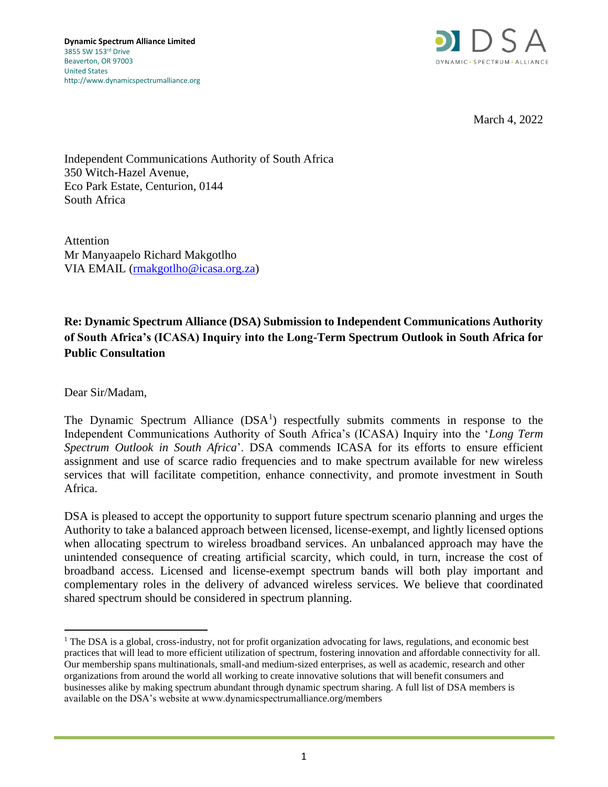

March 4, 2022

Independent Communications Authority of South Africa 350 Witch-Hazel Avenue, Eco Park Estate, Centurion, 0144 South Africa

Attention Mr Manyaapelo Richard Makgotlho VIA EMAIL [\(rmakgotlho@icasa.org.za\)](mailto:rmakgotlho@icasa.org.za)

# **Re: Dynamic Spectrum Alliance (DSA) Submission to Independent Communications Authority of South Africa's (ICASA) Inquiry into the Long-Term Spectrum Outlook in South Africa for Public Consultation**

Dear Sir/Madam,

The Dynamic Spectrum Alliance  $(DSA<sup>1</sup>)$  respectfully submits comments in response to the Independent Communications Authority of South Africa's (ICASA) Inquiry into the '*Long Term Spectrum Outlook in South Africa*'. DSA commends ICASA for its efforts to ensure efficient assignment and use of scarce radio frequencies and to make spectrum available for new wireless services that will facilitate competition, enhance connectivity, and promote investment in South Africa.

DSA is pleased to accept the opportunity to support future spectrum scenario planning and urges the Authority to take a balanced approach between licensed, license-exempt, and lightly licensed options when allocating spectrum to wireless broadband services. An unbalanced approach may have the unintended consequence of creating artificial scarcity, which could, in turn, increase the cost of broadband access. Licensed and license-exempt spectrum bands will both play important and complementary roles in the delivery of advanced wireless services. We believe that coordinated shared spectrum should be considered in spectrum planning.

<sup>&</sup>lt;sup>1</sup> The DSA is a global, cross-industry, not for profit organization advocating for laws, regulations, and economic best practices that will lead to more efficient utilization of spectrum, fostering innovation and affordable connectivity for all. Our membership spans multinationals, small-and medium-sized enterprises, as well as academic, research and other organizations from around the world all working to create innovative solutions that will benefit consumers and businesses alike by making spectrum abundant through dynamic spectrum sharing. A full list of DSA members is available on the DSA's website at www.dynamicspectrumalliance.org/members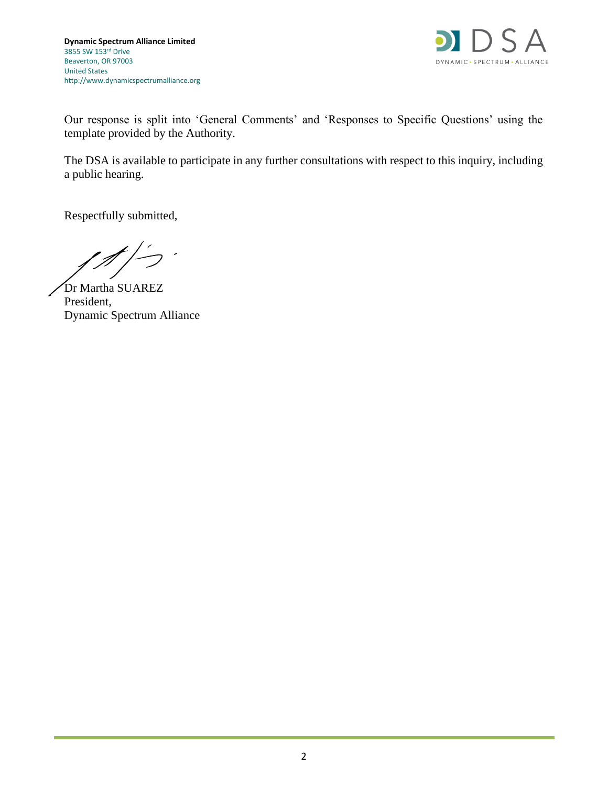

Our response is split into 'General Comments' and 'Responses to Specific Questions' using the template provided by the Authority.

The DSA is available to participate in any further consultations with respect to this inquiry, including a public hearing.

Respectfully submitted,

Dr Martha SUAREZ President, Dynamic Spectrum Alliance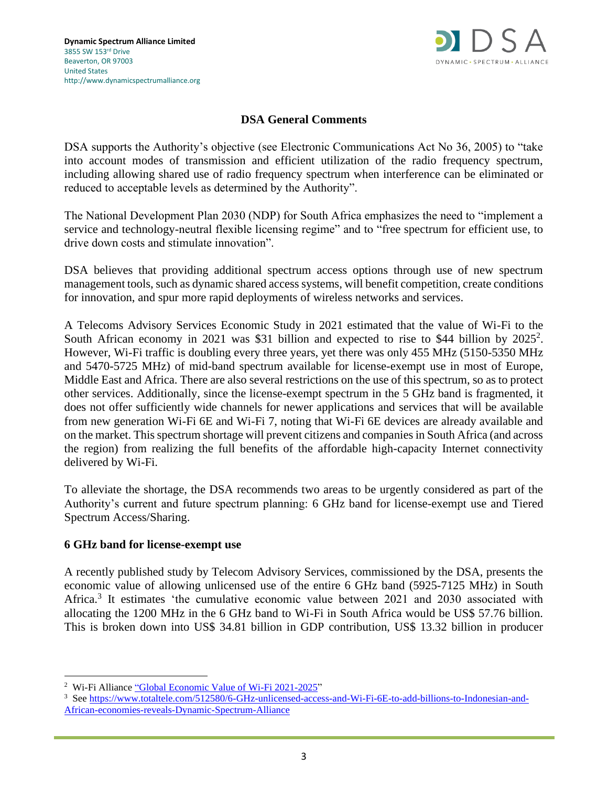

## **DSA General Comments**

DSA supports the Authority's objective (see Electronic Communications Act No 36, 2005) to "take into account modes of transmission and efficient utilization of the radio frequency spectrum, including allowing shared use of radio frequency spectrum when interference can be eliminated or reduced to acceptable levels as determined by the Authority".

The National Development Plan 2030 (NDP) for South Africa emphasizes the need to "implement a service and technology-neutral flexible licensing regime" and to "free spectrum for efficient use, to drive down costs and stimulate innovation".

DSA believes that providing additional spectrum access options through use of new spectrum management tools, such as dynamic shared access systems, will benefit competition, create conditions for innovation, and spur more rapid deployments of wireless networks and services.

A Telecoms Advisory Services Economic Study in 2021 estimated that the value of Wi-Fi to the South African economy in 2021 was \$31 billion and expected to rise to \$44 billion by 2025<sup>2</sup>. However, Wi-Fi traffic is doubling every three years, yet there was only 455 MHz (5150-5350 MHz and 5470-5725 MHz) of mid-band spectrum available for license-exempt use in most of Europe, Middle East and Africa. There are also several restrictions on the use of this spectrum, so as to protect other services. Additionally, since the license-exempt spectrum in the 5 GHz band is fragmented, it does not offer sufficiently wide channels for newer applications and services that will be available from new generation Wi-Fi 6E and Wi-Fi 7, noting that Wi-Fi 6E devices are already available and on the market. This spectrum shortage will prevent citizens and companies in South Africa (and across the region) from realizing the full benefits of the affordable high-capacity Internet connectivity delivered by Wi-Fi.

To alleviate the shortage, the DSA recommends two areas to be urgently considered as part of the Authority's current and future spectrum planning: 6 GHz band for license-exempt use and Tiered Spectrum Access/Sharing.

#### **6 GHz band for license-exempt use**

A recently published study by Telecom Advisory Services, commissioned by the DSA, presents the economic value of allowing unlicensed use of the entire 6 GHz band (5925-7125 MHz) in South Africa.<sup>3</sup> It estimates 'the cumulative economic value between 2021 and 2030 associated with allocating the 1200 MHz in the 6 GHz band to Wi-Fi in South Africa would be US\$ 57.76 billion. This is broken down into US\$ 34.81 billion in GDP contribution, US\$ 13.32 billion in producer

<sup>&</sup>lt;sup>2</sup> Wi-Fi Alliance ["Global Economic Value of Wi-Fi 2021-2025"](https://www.wi-fi.org/download.php?file=/sites/default/files/private/Global_Economic_Value_of_Wi-Fi_2021-2025_202109.pdf)

<sup>3</sup> See [https://www.totaltele.com/512580/6-GHz-unlicensed-access-and-Wi-Fi-6E-to-add-billions-to-Indonesian-and-](https://www.totaltele.com/512580/6-GHz-unlicensed-access-and-Wi-Fi-6E-to-add-billions-to-Indonesian-and-African-economies-reveals-Dynamic-Spectrum-Alliance)[African-economies-reveals-Dynamic-Spectrum-Alliance](https://www.totaltele.com/512580/6-GHz-unlicensed-access-and-Wi-Fi-6E-to-add-billions-to-Indonesian-and-African-economies-reveals-Dynamic-Spectrum-Alliance)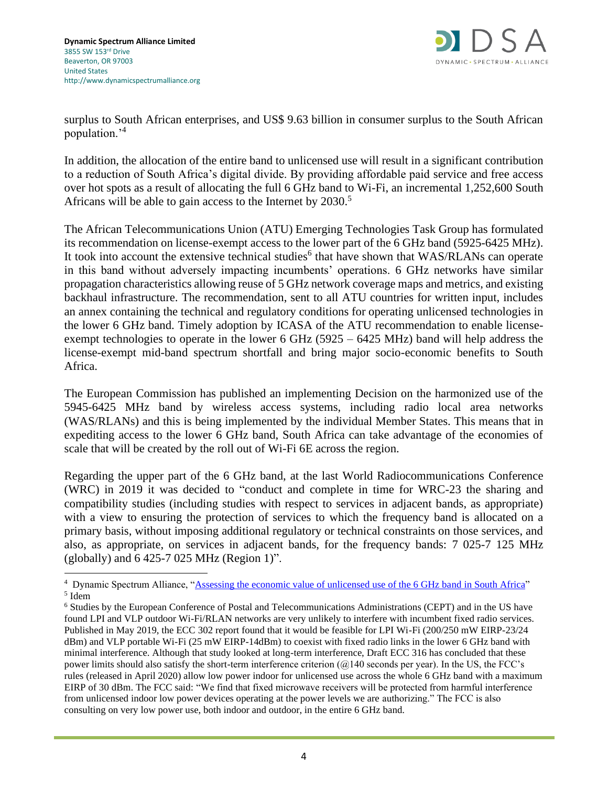

surplus to South African enterprises, and US\$ 9.63 billion in consumer surplus to the South African population.'<sup>4</sup>

In addition, the allocation of the entire band to unlicensed use will result in a significant contribution to a reduction of South Africa's digital divide. By providing affordable paid service and free access over hot spots as a result of allocating the full 6 GHz band to Wi-Fi, an incremental 1,252,600 South Africans will be able to gain access to the Internet by 2030.<sup>5</sup>

The African Telecommunications Union (ATU) Emerging Technologies Task Group has formulated its recommendation on license-exempt access to the lower part of the 6 GHz band (5925-6425 MHz). It took into account the extensive technical studies<sup>6</sup> that have shown that WAS/RLANs can operate in this band without adversely impacting incumbents' operations. 6 GHz networks have similar propagation characteristics allowing reuse of 5 GHz network coverage maps and metrics, and existing backhaul infrastructure. The recommendation, sent to all ATU countries for written input, includes an annex containing the technical and regulatory conditions for operating unlicensed technologies in the lower 6 GHz band. Timely adoption by ICASA of the ATU recommendation to enable licenseexempt technologies to operate in the lower 6 GHz (5925 – 6425 MHz) band will help address the license-exempt mid-band spectrum shortfall and bring major socio-economic benefits to South Africa.

The European Commission has published an implementing Decision on the harmonized use of the 5945-6425 MHz band by wireless access systems, including radio local area networks (WAS/RLANs) and this is being implemented by the individual Member States. This means that in expediting access to the lower 6 GHz band, South Africa can take advantage of the economies of scale that will be created by the roll out of Wi-Fi 6E across the region.

Regarding the upper part of the 6 GHz band, at the last World Radiocommunications Conference (WRC) in 2019 it was decided to "conduct and complete in time for WRC-23 the sharing and compatibility studies (including studies with respect to services in adjacent bands, as appropriate) with a view to ensuring the protection of services to which the frequency band is allocated on a primary basis, without imposing additional regulatory or technical constraints on those services, and also, as appropriate, on services in adjacent bands, for the frequency bands: 7 025-7 125 MHz (globally) and  $6425-7025$  MHz (Region 1)".

<sup>&</sup>lt;sup>4</sup> Dynamic Spectrum Alliance, ["Assessing the economic value of unlicensed use of the 6 GHz band in South Africa"](http://dynamicspectrumalliance.org/wp-content/uploads/2022/02/Assessing-the-economic-value-of-unlicensed-use-of-the-6GHz-band-in-South-Africa.pdf) 5 Idem

<sup>6</sup> Studies by the European Conference of Postal and Telecommunications Administrations (CEPT) and in the US have found LPI and VLP outdoor Wi-Fi/RLAN networks are very unlikely to interfere with incumbent fixed radio services. Published in May 2019, the ECC 302 report found that it would be feasible for LPI Wi-Fi (200/250 mW EIRP-23/24 dBm) and VLP portable Wi-Fi (25 mW EIRP-14dBm) to coexist with fixed radio links in the lower 6 GHz band with minimal interference. Although that study looked at long-term interference, Draft ECC 316 has concluded that these power limits should also satisfy the short-term interference criterion (@140 seconds per year). In the US, the FCC's rules (released in April 2020) allow low power indoor for unlicensed use across the whole 6 GHz band with a maximum EIRP of 30 dBm. The FCC said: "We find that fixed microwave receivers will be protected from harmful interference from unlicensed indoor low power devices operating at the power levels we are authorizing." The FCC is also consulting on very low power use, both indoor and outdoor, in the entire 6 GHz band.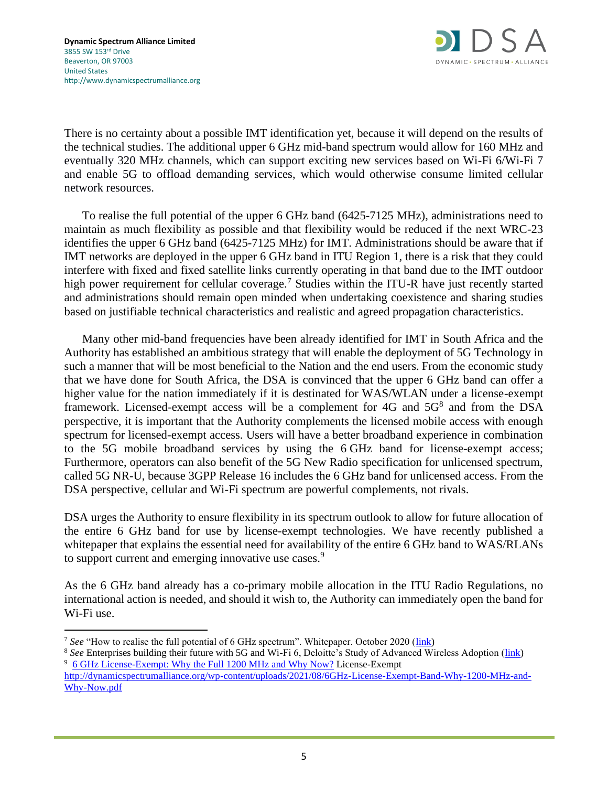

There is no certainty about a possible IMT identification yet, because it will depend on the results of the technical studies. The additional upper 6 GHz mid-band spectrum would allow for 160 MHz and eventually 320 MHz channels, which can support exciting new services based on Wi-Fi 6/Wi-Fi 7 and enable 5G to offload demanding services, which would otherwise consume limited cellular network resources.

To realise the full potential of the upper 6 GHz band (6425-7125 MHz), administrations need to maintain as much flexibility as possible and that flexibility would be reduced if the next WRC-23 identifies the upper 6 GHz band (6425-7125 MHz) for IMT. Administrations should be aware that if IMT networks are deployed in the upper 6 GHz band in ITU Region 1, there is a risk that they could interfere with fixed and fixed satellite links currently operating in that band due to the IMT outdoor high power requirement for cellular coverage.<sup>7</sup> Studies within the ITU-R have just recently started and administrations should remain open minded when undertaking coexistence and sharing studies based on justifiable technical characteristics and realistic and agreed propagation characteristics.

Many other mid-band frequencies have been already identified for IMT in South Africa and the Authority has established an ambitious strategy that will enable the deployment of 5G Technology in such a manner that will be most beneficial to the Nation and the end users. From the economic study that we have done for South Africa, the DSA is convinced that the upper 6 GHz band can offer a higher value for the nation immediately if it is destinated for WAS/WLAN under a license-exempt framework. Licensed-exempt access will be a complement for 4G and 5G<sup>8</sup> and from the DSA perspective, it is important that the Authority complements the licensed mobile access with enough spectrum for licensed-exempt access. Users will have a better broadband experience in combination to the 5G mobile broadband services by using the 6 GHz band for license-exempt access; Furthermore, operators can also benefit of the 5G New Radio specification for unlicensed spectrum, called 5G NR-U, because 3GPP Release 16 includes the 6 GHz band for unlicensed access. From the DSA perspective, cellular and Wi-Fi spectrum are powerful complements, not rivals.

DSA urges the Authority to ensure flexibility in its spectrum outlook to allow for future allocation of the entire 6 GHz band for use by license-exempt technologies. We have recently published a whitepaper that explains the essential need for availability of the entire 6 GHz band to WAS/RLANs to support current and emerging innovative use cases.<sup>9</sup>

As the 6 GHz band already has a co-primary mobile allocation in the ITU Radio Regulations, no international action is needed, and should it wish to, the Authority can immediately open the band for Wi-Fi use.

<sup>&</sup>lt;sup>7</sup> See "How to realise the full potential of 6 GHz spectrum". Whitepaper. October 2020 [\(link\)](http://dynamicspectrumalliance.org/wp-content/uploads/2020/11/DSA-How-to-realise-the-full-potential-of-6-GHz-Spectrum-Whitepaper.pdf)

<sup>&</sup>lt;sup>8</sup> See Enterprises building their future with 5G and Wi-Fi 6, Deloitte's Study of Advanced Wireless Adoption [\(link\)](https://www2.deloitte.com/us/en/insights/industry/telecommunications/5g-adoption-study.html) <sup>9</sup> [6 GHz License-Exempt: Why the Full 1200 MHz and Why Now?](file:///C:/Users/sarahschepers/Desktop/License-Exempt%20http:/dynamicspectrumalliance.org/wp-content/uploads/2021/08/6GHz-License-Exempt-Band-Why-1200-MHz-and-Why-Now.pdf) License-Exempt

[http://dynamicspectrumalliance.org/wp-content/uploads/2021/08/6GHz-License-Exempt-Band-Why-1200-MHz-and-](http://dynamicspectrumalliance.org/wp-content/uploads/2021/08/6GHz-License-Exempt-Band-Why-1200-MHz-and-Why-Now.pdf)[Why-Now.pdf](http://dynamicspectrumalliance.org/wp-content/uploads/2021/08/6GHz-License-Exempt-Band-Why-1200-MHz-and-Why-Now.pdf)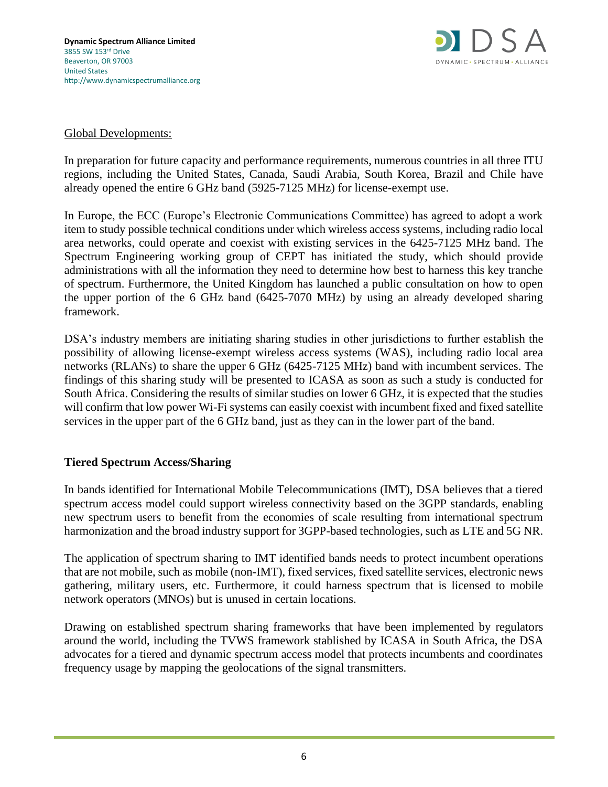

### Global Developments:

In preparation for future capacity and performance requirements, numerous countries in all three ITU regions, including the United States, Canada, Saudi Arabia, South Korea, Brazil and Chile have already opened the entire 6 GHz band (5925-7125 MHz) for license-exempt use.

In Europe, the ECC (Europe's Electronic Communications Committee) has agreed to adopt a work item to study possible technical conditions under which wireless access systems, including radio local area networks, could operate and coexist with existing services in the 6425-7125 MHz band. The Spectrum Engineering working group of CEPT has initiated the study, which should provide administrations with all the information they need to determine how best to harness this key tranche of spectrum. Furthermore, the United Kingdom has launched a public consultation on how to open the upper portion of the 6 GHz band (6425-7070 MHz) by using an already developed sharing framework.

DSA's industry members are initiating sharing studies in other jurisdictions to further establish the possibility of allowing license-exempt wireless access systems (WAS), including radio local area networks (RLANs) to share the upper 6 GHz (6425-7125 MHz) band with incumbent services. The findings of this sharing study will be presented to ICASA as soon as such a study is conducted for South Africa. Considering the results of similar studies on lower 6 GHz, it is expected that the studies will confirm that low power Wi-Fi systems can easily coexist with incumbent fixed and fixed satellite services in the upper part of the 6 GHz band, just as they can in the lower part of the band.

## **Tiered Spectrum Access/Sharing**

In bands identified for International Mobile Telecommunications (IMT), DSA believes that a tiered spectrum access model could support wireless connectivity based on the 3GPP standards, enabling new spectrum users to benefit from the economies of scale resulting from international spectrum harmonization and the broad industry support for 3GPP-based technologies, such as LTE and 5G NR.

The application of spectrum sharing to IMT identified bands needs to protect incumbent operations that are not mobile, such as mobile (non-IMT), fixed services, fixed satellite services, electronic news gathering, military users, etc. Furthermore, it could harness spectrum that is licensed to mobile network operators (MNOs) but is unused in certain locations.

Drawing on established spectrum sharing frameworks that have been implemented by regulators around the world, including the TVWS framework stablished by ICASA in South Africa, the DSA advocates for a tiered and dynamic spectrum access model that protects incumbents and coordinates frequency usage by mapping the geolocations of the signal transmitters.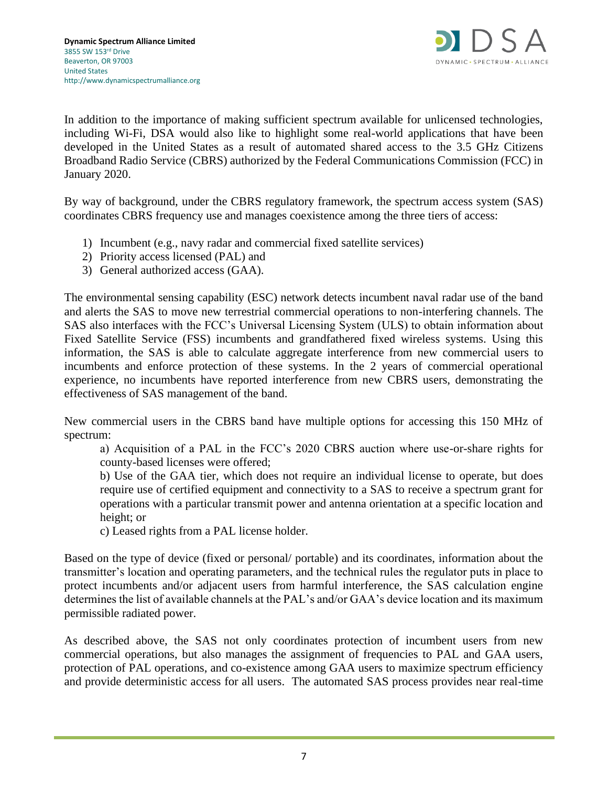

In addition to the importance of making sufficient spectrum available for unlicensed technologies, including Wi-Fi, DSA would also like to highlight some real-world applications that have been developed in the United States as a result of automated shared access to the 3.5 GHz Citizens Broadband Radio Service (CBRS) authorized by the Federal Communications Commission (FCC) in January 2020.

By way of background, under the CBRS regulatory framework, the spectrum access system (SAS) coordinates CBRS frequency use and manages coexistence among the three tiers of access:

- 1) Incumbent (e.g., navy radar and commercial fixed satellite services)
- 2) Priority access licensed (PAL) and
- 3) General authorized access (GAA).

The environmental sensing capability (ESC) network detects incumbent naval radar use of the band and alerts the SAS to move new terrestrial commercial operations to non-interfering channels. The SAS also interfaces with the FCC's Universal Licensing System (ULS) to obtain information about Fixed Satellite Service (FSS) incumbents and grandfathered fixed wireless systems. Using this information, the SAS is able to calculate aggregate interference from new commercial users to incumbents and enforce protection of these systems. In the 2 years of commercial operational experience, no incumbents have reported interference from new CBRS users, demonstrating the effectiveness of SAS management of the band.

New commercial users in the CBRS band have multiple options for accessing this 150 MHz of spectrum:

a) Acquisition of a PAL in the FCC's 2020 CBRS auction where use-or-share rights for county-based licenses were offered;

b) Use of the GAA tier, which does not require an individual license to operate, but does require use of certified equipment and connectivity to a SAS to receive a spectrum grant for operations with a particular transmit power and antenna orientation at a specific location and height; or

c) Leased rights from a PAL license holder.

Based on the type of device (fixed or personal/ portable) and its coordinates, information about the transmitter's location and operating parameters, and the technical rules the regulator puts in place to protect incumbents and/or adjacent users from harmful interference, the SAS calculation engine determines the list of available channels at the PAL's and/or GAA's device location and its maximum permissible radiated power.

As described above, the SAS not only coordinates protection of incumbent users from new commercial operations, but also manages the assignment of frequencies to PAL and GAA users, protection of PAL operations, and co-existence among GAA users to maximize spectrum efficiency and provide deterministic access for all users. The automated SAS process provides near real-time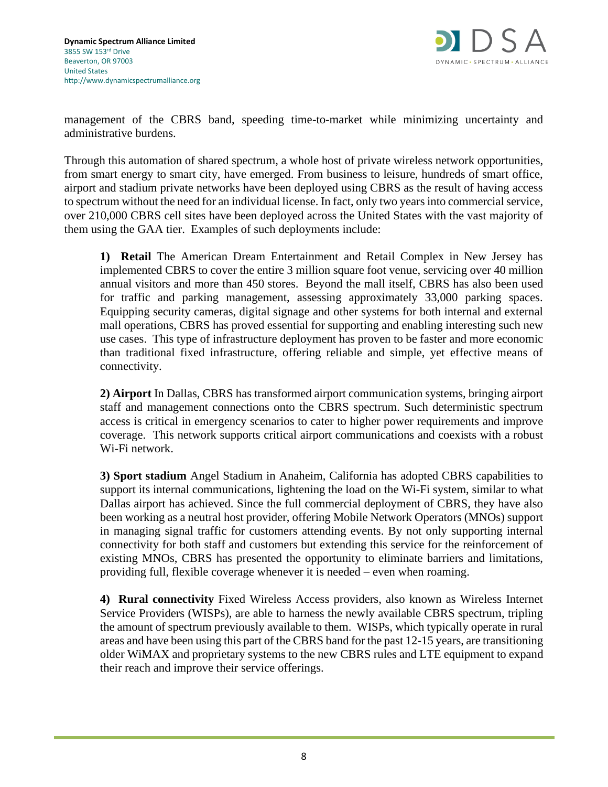

management of the CBRS band, speeding time-to-market while minimizing uncertainty and administrative burdens.

Through this automation of shared spectrum, a whole host of private wireless network opportunities, from smart energy to smart city, have emerged. From business to leisure, hundreds of smart office, airport and stadium private networks have been deployed using CBRS as the result of having access to spectrum without the need for an individual license. In fact, only two years into commercial service, over 210,000 CBRS cell sites have been deployed across the United States with the vast majority of them using the GAA tier. Examples of such deployments include:

**1) Retail** The American Dream Entertainment and Retail Complex in New Jersey has implemented CBRS to cover the entire 3 million square foot venue, servicing over 40 million annual visitors and more than 450 stores. Beyond the mall itself, CBRS has also been used for traffic and parking management, assessing approximately 33,000 parking spaces. Equipping security cameras, digital signage and other systems for both internal and external mall operations, CBRS has proved essential for supporting and enabling interesting such new use cases. This type of infrastructure deployment has proven to be faster and more economic than traditional fixed infrastructure, offering reliable and simple, yet effective means of connectivity.

**2) Airport** In Dallas, CBRS has transformed airport communication systems, bringing airport staff and management connections onto the CBRS spectrum. Such deterministic spectrum access is critical in emergency scenarios to cater to higher power requirements and improve coverage. This network supports critical airport communications and coexists with a robust Wi-Fi network.

**3) Sport stadium** Angel Stadium in Anaheim, California has adopted CBRS capabilities to support its internal communications, lightening the load on the Wi-Fi system, similar to what Dallas airport has achieved. Since the full commercial deployment of CBRS, they have also been working as a neutral host provider, offering Mobile Network Operators (MNOs) support in managing signal traffic for customers attending events. By not only supporting internal connectivity for both staff and customers but extending this service for the reinforcement of existing MNOs, CBRS has presented the opportunity to eliminate barriers and limitations, providing full, flexible coverage whenever it is needed – even when roaming.

**4) Rural connectivity** Fixed Wireless Access providers, also known as Wireless Internet Service Providers (WISPs), are able to harness the newly available CBRS spectrum, tripling the amount of spectrum previously available to them. WISPs, which typically operate in rural areas and have been using this part of the CBRS band for the past 12-15 years, are transitioning older WiMAX and proprietary systems to the new CBRS rules and LTE equipment to expand their reach and improve their service offerings.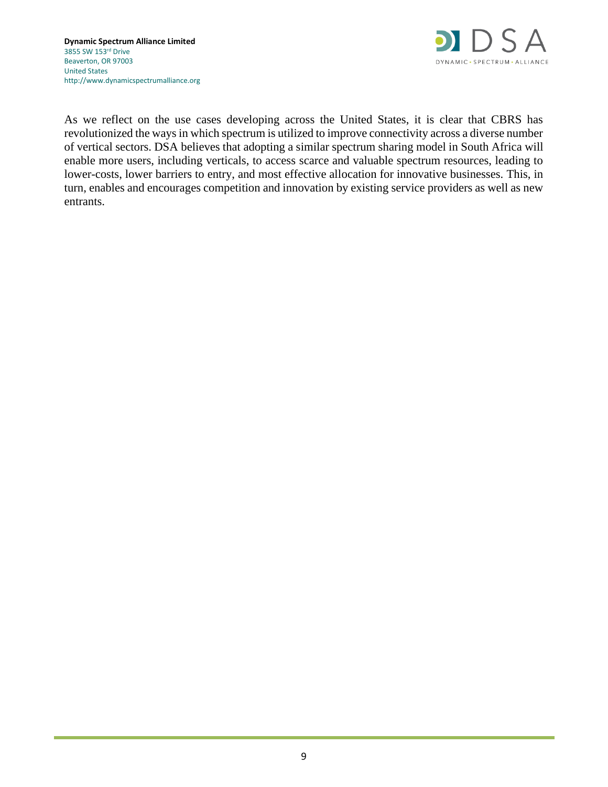

As we reflect on the use cases developing across the United States, it is clear that CBRS has revolutionized the ways in which spectrum is utilized to improve connectivity across a diverse number of vertical sectors. DSA believes that adopting a similar spectrum sharing model in South Africa will enable more users, including verticals, to access scarce and valuable spectrum resources, leading to lower-costs, lower barriers to entry, and most effective allocation for innovative businesses. This, in turn, enables and encourages competition and innovation by existing service providers as well as new entrants.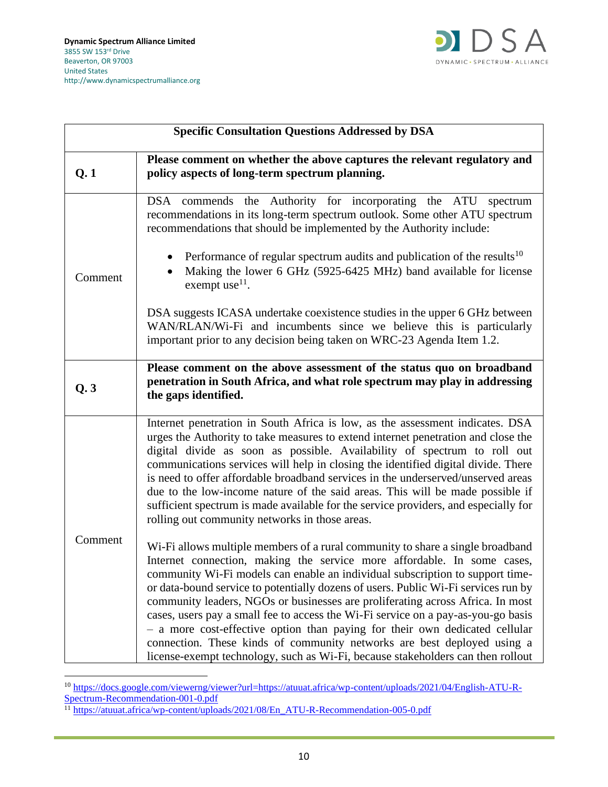

| <b>Specific Consultation Questions Addressed by DSA</b> |                                                                                                                                                                                                                                                                                                                                                                                                                                                                                                                                                                                                                                                                                                                                                      |
|---------------------------------------------------------|------------------------------------------------------------------------------------------------------------------------------------------------------------------------------------------------------------------------------------------------------------------------------------------------------------------------------------------------------------------------------------------------------------------------------------------------------------------------------------------------------------------------------------------------------------------------------------------------------------------------------------------------------------------------------------------------------------------------------------------------------|
| Q.1                                                     | Please comment on whether the above captures the relevant regulatory and<br>policy aspects of long-term spectrum planning.                                                                                                                                                                                                                                                                                                                                                                                                                                                                                                                                                                                                                           |
| Comment                                                 | DSA commends the Authority for incorporating the ATU<br>spectrum<br>recommendations in its long-term spectrum outlook. Some other ATU spectrum<br>recommendations that should be implemented by the Authority include:                                                                                                                                                                                                                                                                                                                                                                                                                                                                                                                               |
|                                                         | Performance of regular spectrum audits and publication of the results <sup>10</sup><br>Making the lower 6 GHz (5925-6425 MHz) band available for license<br>exempt use $^{11}$ .                                                                                                                                                                                                                                                                                                                                                                                                                                                                                                                                                                     |
|                                                         | DSA suggests ICASA undertake coexistence studies in the upper 6 GHz between<br>WAN/RLAN/Wi-Fi and incumbents since we believe this is particularly<br>important prior to any decision being taken on WRC-23 Agenda Item 1.2.                                                                                                                                                                                                                                                                                                                                                                                                                                                                                                                         |
| Q.3                                                     | Please comment on the above assessment of the status quo on broadband<br>penetration in South Africa, and what role spectrum may play in addressing<br>the gaps identified.                                                                                                                                                                                                                                                                                                                                                                                                                                                                                                                                                                          |
| Comment                                                 | Internet penetration in South Africa is low, as the assessment indicates. DSA<br>urges the Authority to take measures to extend internet penetration and close the<br>digital divide as soon as possible. Availability of spectrum to roll out<br>communications services will help in closing the identified digital divide. There<br>is need to offer affordable broadband services in the underserved/unserved areas<br>due to the low-income nature of the said areas. This will be made possible if<br>sufficient spectrum is made available for the service providers, and especially for<br>rolling out community networks in those areas.                                                                                                    |
|                                                         | Wi-Fi allows multiple members of a rural community to share a single broadband<br>Internet connection, making the service more affordable. In some cases,<br>community Wi-Fi models can enable an individual subscription to support time-<br>or data-bound service to potentially dozens of users. Public Wi-Fi services run by<br>community leaders, NGOs or businesses are proliferating across Africa. In most<br>cases, users pay a small fee to access the Wi-Fi service on a pay-as-you-go basis<br>- a more cost-effective option than paying for their own dedicated cellular<br>connection. These kinds of community networks are best deployed using a<br>license-exempt technology, such as Wi-Fi, because stakeholders can then rollout |

<sup>&</sup>lt;sup>10</sup> [https://docs.google.com/viewerng/viewer?url=https://atuuat.africa/wp-content/uploads/2021/04/English-ATU-R-](https://docs.google.com/viewerng/viewer?url=https://atuuat.africa/wp-content/uploads/2021/04/English-ATU-R-Spectrum-Recommendation-001-0.pdf)[Spectrum-Recommendation-001-0.pdf](https://docs.google.com/viewerng/viewer?url=https://atuuat.africa/wp-content/uploads/2021/04/English-ATU-R-Spectrum-Recommendation-001-0.pdf)

<sup>&</sup>lt;sup>11</sup> [https://atuuat.africa/wp-content/uploads/2021/08/En\\_ATU-R-Recommendation-005-0.pdf](https://atuuat.africa/wp-content/uploads/2021/08/En_ATU-R-Recommendation-005-0.pdf)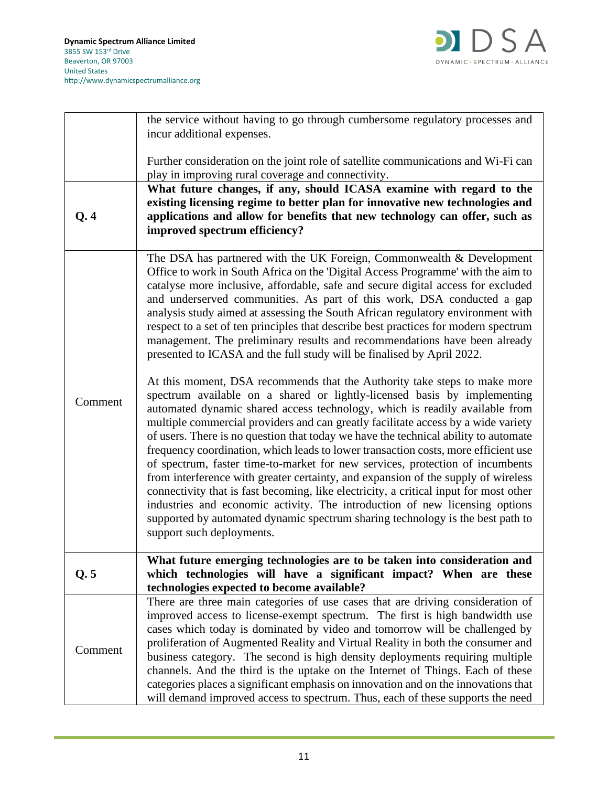

|         | the service without having to go through cumbersome regulatory processes and                                                                                                                                                                                                                                                                                                                                                                                                                                                                                                                                                                                                                                                                                                                                                                                                                                                                                                                                                                                                                                                                                                                                                                                                                                                                                                                                                                                                                                                                                                                                                    |
|---------|---------------------------------------------------------------------------------------------------------------------------------------------------------------------------------------------------------------------------------------------------------------------------------------------------------------------------------------------------------------------------------------------------------------------------------------------------------------------------------------------------------------------------------------------------------------------------------------------------------------------------------------------------------------------------------------------------------------------------------------------------------------------------------------------------------------------------------------------------------------------------------------------------------------------------------------------------------------------------------------------------------------------------------------------------------------------------------------------------------------------------------------------------------------------------------------------------------------------------------------------------------------------------------------------------------------------------------------------------------------------------------------------------------------------------------------------------------------------------------------------------------------------------------------------------------------------------------------------------------------------------------|
|         | incur additional expenses.                                                                                                                                                                                                                                                                                                                                                                                                                                                                                                                                                                                                                                                                                                                                                                                                                                                                                                                                                                                                                                                                                                                                                                                                                                                                                                                                                                                                                                                                                                                                                                                                      |
|         | Further consideration on the joint role of satellite communications and Wi-Fi can<br>play in improving rural coverage and connectivity.                                                                                                                                                                                                                                                                                                                                                                                                                                                                                                                                                                                                                                                                                                                                                                                                                                                                                                                                                                                                                                                                                                                                                                                                                                                                                                                                                                                                                                                                                         |
| Q.4     | What future changes, if any, should ICASA examine with regard to the<br>existing licensing regime to better plan for innovative new technologies and<br>applications and allow for benefits that new technology can offer, such as<br>improved spectrum efficiency?                                                                                                                                                                                                                                                                                                                                                                                                                                                                                                                                                                                                                                                                                                                                                                                                                                                                                                                                                                                                                                                                                                                                                                                                                                                                                                                                                             |
| Comment | The DSA has partnered with the UK Foreign, Commonwealth & Development<br>Office to work in South Africa on the 'Digital Access Programme' with the aim to<br>catalyse more inclusive, affordable, safe and secure digital access for excluded<br>and underserved communities. As part of this work, DSA conducted a gap<br>analysis study aimed at assessing the South African regulatory environment with<br>respect to a set of ten principles that describe best practices for modern spectrum<br>management. The preliminary results and recommendations have been already<br>presented to ICASA and the full study will be finalised by April 2022.<br>At this moment, DSA recommends that the Authority take steps to make more<br>spectrum available on a shared or lightly-licensed basis by implementing<br>automated dynamic shared access technology, which is readily available from<br>multiple commercial providers and can greatly facilitate access by a wide variety<br>of users. There is no question that today we have the technical ability to automate<br>frequency coordination, which leads to lower transaction costs, more efficient use<br>of spectrum, faster time-to-market for new services, protection of incumbents<br>from interference with greater certainty, and expansion of the supply of wireless<br>connectivity that is fast becoming, like electricity, a critical input for most other<br>industries and economic activity. The introduction of new licensing options<br>supported by automated dynamic spectrum sharing technology is the best path to<br>support such deployments. |
| Q.5     | What future emerging technologies are to be taken into consideration and<br>which technologies will have a significant impact? When are these<br>technologies expected to become available?                                                                                                                                                                                                                                                                                                                                                                                                                                                                                                                                                                                                                                                                                                                                                                                                                                                                                                                                                                                                                                                                                                                                                                                                                                                                                                                                                                                                                                     |
| Comment | There are three main categories of use cases that are driving consideration of<br>improved access to license-exempt spectrum. The first is high bandwidth use<br>cases which today is dominated by video and tomorrow will be challenged by<br>proliferation of Augmented Reality and Virtual Reality in both the consumer and<br>business category. The second is high density deployments requiring multiple<br>channels. And the third is the uptake on the Internet of Things. Each of these<br>categories places a significant emphasis on innovation and on the innovations that<br>will demand improved access to spectrum. Thus, each of these supports the need                                                                                                                                                                                                                                                                                                                                                                                                                                                                                                                                                                                                                                                                                                                                                                                                                                                                                                                                                        |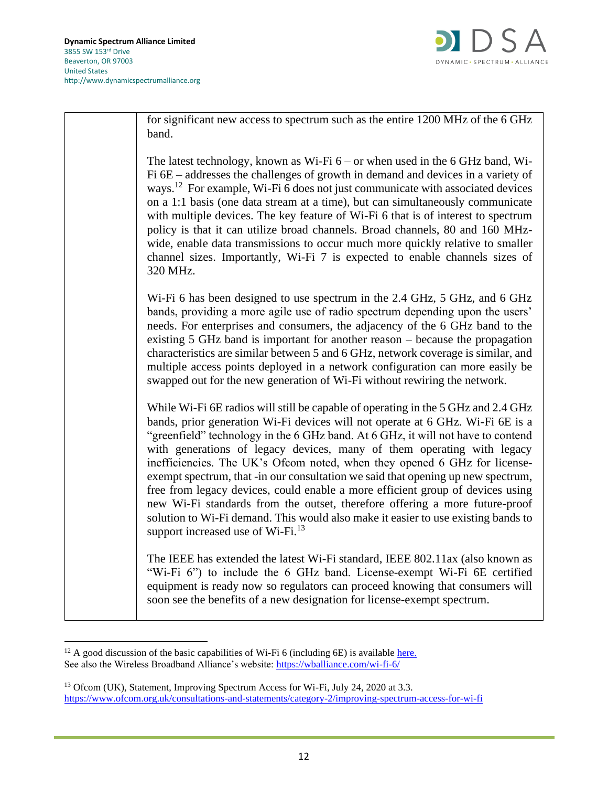

for significant new access to spectrum such as the entire 1200 MHz of the 6 GHz band.

The latest technology, known as Wi-Fi 6 – or when used in the 6 GHz band, Wi-Fi 6E – addresses the challenges of growth in demand and devices in a variety of ways.<sup>12</sup> For example, Wi-Fi 6 does not just communicate with associated devices on a 1:1 basis (one data stream at a time), but can simultaneously communicate with multiple devices. The key feature of Wi-Fi 6 that is of interest to spectrum policy is that it can utilize broad channels. Broad channels, 80 and 160 MHzwide, enable data transmissions to occur much more quickly relative to smaller channel sizes. Importantly, Wi-Fi 7 is expected to enable channels sizes of 320 MHz.

Wi-Fi 6 has been designed to use spectrum in the 2.4 GHz, 5 GHz, and 6 GHz bands, providing a more agile use of radio spectrum depending upon the users' needs. For enterprises and consumers, the adjacency of the 6 GHz band to the existing 5 GHz band is important for another reason – because the propagation characteristics are similar between 5 and 6 GHz, network coverage is similar, and multiple access points deployed in a network configuration can more easily be swapped out for the new generation of Wi-Fi without rewiring the network.

While Wi-Fi 6E radios will still be capable of operating in the 5 GHz and 2.4 GHz bands, prior generation Wi-Fi devices will not operate at 6 GHz. Wi-Fi 6E is a "greenfield" technology in the 6 GHz band. At 6 GHz, it will not have to contend with generations of legacy devices, many of them operating with legacy inefficiencies. The UK's Ofcom noted, when they opened 6 GHz for licenseexempt spectrum, that -in our consultation we said that opening up new spectrum, free from legacy devices, could enable a more efficient group of devices using new Wi-Fi standards from the outset, therefore offering a more future-proof solution to Wi-Fi demand. This would also make it easier to use existing bands to support increased use of  $Wi$ -Fi.<sup>13</sup>

The IEEE has extended the latest Wi-Fi standard, IEEE 802.11ax (also known as "Wi-Fi 6") to include the 6 GHz band. License-exempt Wi-Fi 6E certified equipment is ready now so regulators can proceed knowing that consumers will soon see the benefits of a new designation for license-exempt spectrum.

 $12$  A good discussion of the basic capabilities of Wi-Fi 6 (including 6E) is available [here.](https://www.wi-fi.org/download.php?file=/sites/default/files/private/Wi-Fi_6E_Highlights_20200423.pdf) See also the Wireless Broadband Alliance's website:<https://wballiance.com/wi-fi-6/>

<sup>&</sup>lt;sup>13</sup> Ofcom (UK), Statement, Improving Spectrum Access for Wi-Fi, July 24, 2020 at 3.3. <https://www.ofcom.org.uk/consultations-and-statements/category-2/improving-spectrum-access-for-wi-fi>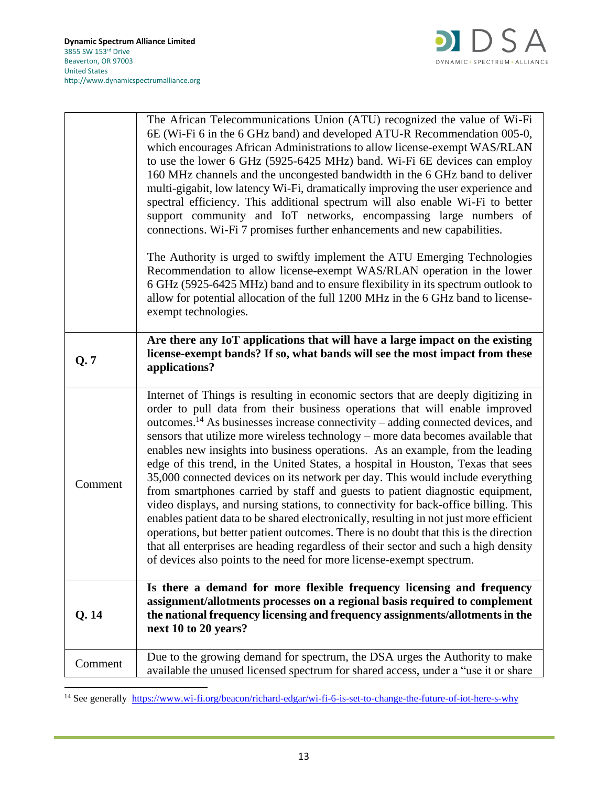

|         | The African Telecommunications Union (ATU) recognized the value of Wi-Fi                                                                                                                                                                                                                                                                                                                                                                                                                                                                                                                                                                                                                                                                                                                                                                                                                                                                                                                                                                                                                                                              |
|---------|---------------------------------------------------------------------------------------------------------------------------------------------------------------------------------------------------------------------------------------------------------------------------------------------------------------------------------------------------------------------------------------------------------------------------------------------------------------------------------------------------------------------------------------------------------------------------------------------------------------------------------------------------------------------------------------------------------------------------------------------------------------------------------------------------------------------------------------------------------------------------------------------------------------------------------------------------------------------------------------------------------------------------------------------------------------------------------------------------------------------------------------|
|         | 6E (Wi-Fi 6 in the 6 GHz band) and developed ATU-R Recommendation 005-0,<br>which encourages African Administrations to allow license-exempt WAS/RLAN<br>to use the lower 6 GHz (5925-6425 MHz) band. Wi-Fi 6E devices can employ<br>160 MHz channels and the uncongested bandwidth in the 6 GHz band to deliver<br>multi-gigabit, low latency Wi-Fi, dramatically improving the user experience and<br>spectral efficiency. This additional spectrum will also enable Wi-Fi to better<br>support community and IoT networks, encompassing large numbers of<br>connections. Wi-Fi 7 promises further enhancements and new capabilities.                                                                                                                                                                                                                                                                                                                                                                                                                                                                                               |
|         | The Authority is urged to swiftly implement the ATU Emerging Technologies<br>Recommendation to allow license-exempt WAS/RLAN operation in the lower<br>6 GHz (5925-6425 MHz) band and to ensure flexibility in its spectrum outlook to<br>allow for potential allocation of the full 1200 MHz in the 6 GHz band to license-<br>exempt technologies.                                                                                                                                                                                                                                                                                                                                                                                                                                                                                                                                                                                                                                                                                                                                                                                   |
| Q.7     | Are there any IoT applications that will have a large impact on the existing<br>license-exempt bands? If so, what bands will see the most impact from these<br>applications?                                                                                                                                                                                                                                                                                                                                                                                                                                                                                                                                                                                                                                                                                                                                                                                                                                                                                                                                                          |
| Comment | Internet of Things is resulting in economic sectors that are deeply digitizing in<br>order to pull data from their business operations that will enable improved<br>outcomes. <sup>14</sup> As businesses increase connectivity – adding connected devices, and<br>sensors that utilize more wireless technology – more data becomes available that<br>enables new insights into business operations. As an example, from the leading<br>edge of this trend, in the United States, a hospital in Houston, Texas that sees<br>35,000 connected devices on its network per day. This would include everything<br>from smartphones carried by staff and guests to patient diagnostic equipment,<br>video displays, and nursing stations, to connectivity for back-office billing. This<br>enables patient data to be shared electronically, resulting in not just more efficient<br>operations, but better patient outcomes. There is no doubt that this is the direction<br>that all enterprises are heading regardless of their sector and such a high density<br>of devices also points to the need for more license-exempt spectrum. |
| Q.14    | Is there a demand for more flexible frequency licensing and frequency<br>assignment/allotments processes on a regional basis required to complement<br>the national frequency licensing and frequency assignments/allotments in the<br>next 10 to 20 years?                                                                                                                                                                                                                                                                                                                                                                                                                                                                                                                                                                                                                                                                                                                                                                                                                                                                           |
| Comment | Due to the growing demand for spectrum, the DSA urges the Authority to make                                                                                                                                                                                                                                                                                                                                                                                                                                                                                                                                                                                                                                                                                                                                                                                                                                                                                                                                                                                                                                                           |

<sup>&</sup>lt;sup>14</sup> See generally <https://www.wi-fi.org/beacon/richard-edgar/wi-fi-6-is-set-to-change-the-future-of-iot-here-s-why>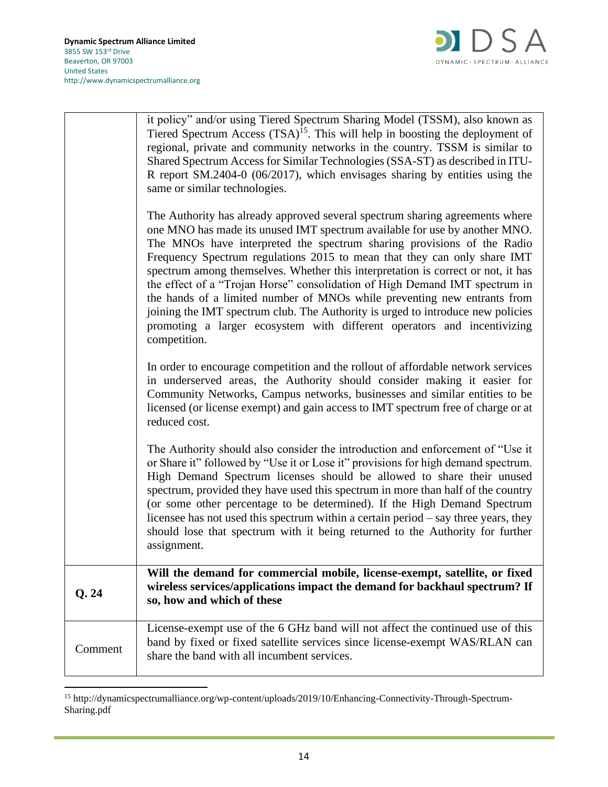

|         | it policy" and/or using Tiered Spectrum Sharing Model (TSSM), also known as<br>Tiered Spectrum Access $(TSA)^{15}$ . This will help in boosting the deployment of<br>regional, private and community networks in the country. TSSM is similar to<br>Shared Spectrum Access for Similar Technologies (SSA-ST) as described in ITU-<br>R report SM.2404-0 (06/2017), which envisages sharing by entities using the<br>same or similar technologies.                                                                                                                                                                                                                                                                                             |
|---------|-----------------------------------------------------------------------------------------------------------------------------------------------------------------------------------------------------------------------------------------------------------------------------------------------------------------------------------------------------------------------------------------------------------------------------------------------------------------------------------------------------------------------------------------------------------------------------------------------------------------------------------------------------------------------------------------------------------------------------------------------|
|         | The Authority has already approved several spectrum sharing agreements where<br>one MNO has made its unused IMT spectrum available for use by another MNO.<br>The MNOs have interpreted the spectrum sharing provisions of the Radio<br>Frequency Spectrum regulations 2015 to mean that they can only share IMT<br>spectrum among themselves. Whether this interpretation is correct or not, it has<br>the effect of a "Trojan Horse" consolidation of High Demand IMT spectrum in<br>the hands of a limited number of MNOs while preventing new entrants from<br>joining the IMT spectrum club. The Authority is urged to introduce new policies<br>promoting a larger ecosystem with different operators and incentivizing<br>competition. |
|         | In order to encourage competition and the rollout of affordable network services<br>in underserved areas, the Authority should consider making it easier for<br>Community Networks, Campus networks, businesses and similar entities to be<br>licensed (or license exempt) and gain access to IMT spectrum free of charge or at<br>reduced cost.                                                                                                                                                                                                                                                                                                                                                                                              |
|         | The Authority should also consider the introduction and enforcement of "Use it<br>or Share it" followed by "Use it or Lose it" provisions for high demand spectrum.<br>High Demand Spectrum licenses should be allowed to share their unused<br>spectrum, provided they have used this spectrum in more than half of the country<br>(or some other percentage to be determined). If the High Demand Spectrum<br>licensee has not used this spectrum within a certain period – say three years, they<br>should lose that spectrum with it being returned to the Authority for further<br>assignment.                                                                                                                                           |
| Q.24    | Will the demand for commercial mobile, license-exempt, satellite, or fixed<br>wireless services/applications impact the demand for backhaul spectrum? If<br>so, how and which of these                                                                                                                                                                                                                                                                                                                                                                                                                                                                                                                                                        |
| Comment | License-exempt use of the 6 GHz band will not affect the continued use of this<br>band by fixed or fixed satellite services since license-exempt WAS/RLAN can<br>share the band with all incumbent services.                                                                                                                                                                                                                                                                                                                                                                                                                                                                                                                                  |

<sup>15</sup> http://dynamicspectrumalliance.org/wp-content/uploads/2019/10/Enhancing-Connectivity-Through-Spectrum-Sharing.pdf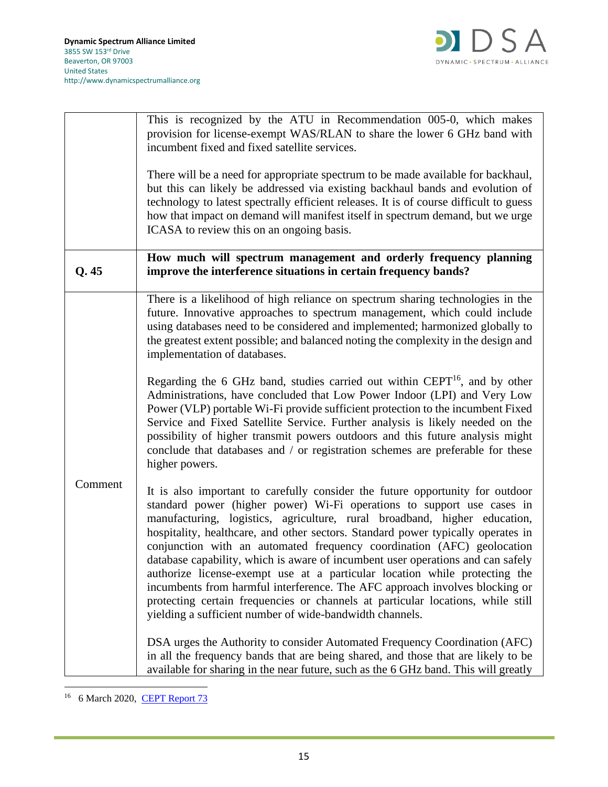

|         | This is recognized by the ATU in Recommendation 005-0, which makes<br>provision for license-exempt WAS/RLAN to share the lower 6 GHz band with<br>incumbent fixed and fixed satellite services.                                                                                                                                                                                                                                                                                                                                                                                                                                                                                                                                                                                                   |
|---------|---------------------------------------------------------------------------------------------------------------------------------------------------------------------------------------------------------------------------------------------------------------------------------------------------------------------------------------------------------------------------------------------------------------------------------------------------------------------------------------------------------------------------------------------------------------------------------------------------------------------------------------------------------------------------------------------------------------------------------------------------------------------------------------------------|
|         | There will be a need for appropriate spectrum to be made available for backhaul,<br>but this can likely be addressed via existing backhaul bands and evolution of<br>technology to latest spectrally efficient releases. It is of course difficult to guess<br>how that impact on demand will manifest itself in spectrum demand, but we urge<br>ICASA to review this on an ongoing basis.                                                                                                                                                                                                                                                                                                                                                                                                        |
| Q.45    | How much will spectrum management and orderly frequency planning<br>improve the interference situations in certain frequency bands?                                                                                                                                                                                                                                                                                                                                                                                                                                                                                                                                                                                                                                                               |
| Comment | There is a likelihood of high reliance on spectrum sharing technologies in the<br>future. Innovative approaches to spectrum management, which could include<br>using databases need to be considered and implemented; harmonized globally to<br>the greatest extent possible; and balanced noting the complexity in the design and<br>implementation of databases.                                                                                                                                                                                                                                                                                                                                                                                                                                |
|         | Regarding the 6 GHz band, studies carried out within $CEPT^{16}$ , and by other<br>Administrations, have concluded that Low Power Indoor (LPI) and Very Low<br>Power (VLP) portable Wi-Fi provide sufficient protection to the incumbent Fixed<br>Service and Fixed Satellite Service. Further analysis is likely needed on the<br>possibility of higher transmit powers outdoors and this future analysis might<br>conclude that databases and / or registration schemes are preferable for these<br>higher powers.                                                                                                                                                                                                                                                                              |
|         | It is also important to carefully consider the future opportunity for outdoor<br>standard power (higher power) Wi-Fi operations to support use cases in<br>manufacturing, logistics, agriculture, rural broadband, higher education,<br>hospitality, healthcare, and other sectors. Standard power typically operates in<br>conjunction with an automated frequency coordination (AFC) geolocation<br>database capability, which is aware of incumbent user operations and can safely<br>authorize license-exempt use at a particular location while protecting the<br>incumbents from harmful interference. The AFC approach involves blocking or<br>protecting certain frequencies or channels at particular locations, while still<br>yielding a sufficient number of wide-bandwidth channels. |
|         | DSA urges the Authority to consider Automated Frequency Coordination (AFC)<br>in all the frequency bands that are being shared, and those that are likely to be<br>available for sharing in the near future, such as the 6 GHz band. This will greatly                                                                                                                                                                                                                                                                                                                                                                                                                                                                                                                                            |

<sup>&</sup>lt;sup>16</sup> 6 March 2020, <u>CEPT Report 73</u>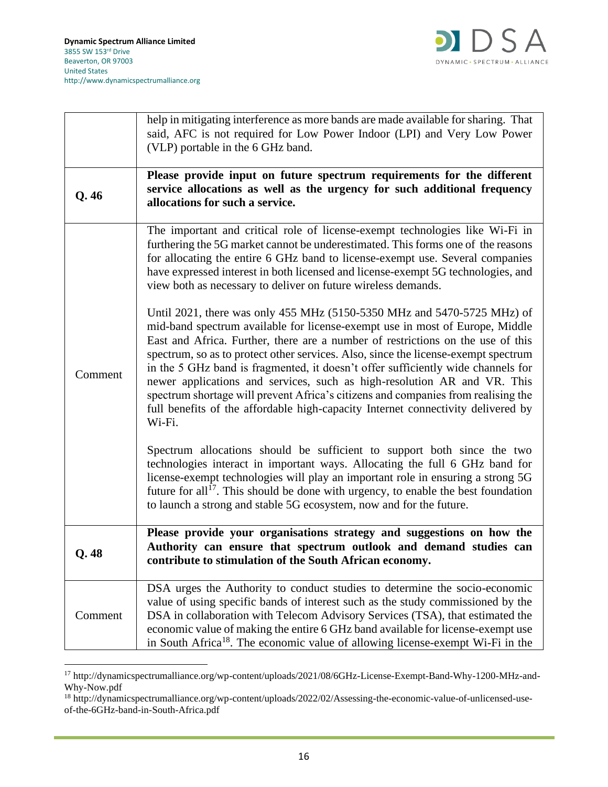

|         | help in mitigating interference as more bands are made available for sharing. That<br>said, AFC is not required for Low Power Indoor (LPI) and Very Low Power<br>(VLP) portable in the 6 GHz band.                                                                                                                                                                                                                                                                                                                                                                                                                                                                                  |
|---------|-------------------------------------------------------------------------------------------------------------------------------------------------------------------------------------------------------------------------------------------------------------------------------------------------------------------------------------------------------------------------------------------------------------------------------------------------------------------------------------------------------------------------------------------------------------------------------------------------------------------------------------------------------------------------------------|
| Q.46    | Please provide input on future spectrum requirements for the different<br>service allocations as well as the urgency for such additional frequency<br>allocations for such a service.                                                                                                                                                                                                                                                                                                                                                                                                                                                                                               |
| Comment | The important and critical role of license-exempt technologies like Wi-Fi in<br>furthering the 5G market cannot be underestimated. This forms one of the reasons<br>for allocating the entire 6 GHz band to license-exempt use. Several companies<br>have expressed interest in both licensed and license-exempt 5G technologies, and<br>view both as necessary to deliver on future wireless demands.                                                                                                                                                                                                                                                                              |
|         | Until 2021, there was only 455 MHz (5150-5350 MHz and 5470-5725 MHz) of<br>mid-band spectrum available for license-exempt use in most of Europe, Middle<br>East and Africa. Further, there are a number of restrictions on the use of this<br>spectrum, so as to protect other services. Also, since the license-exempt spectrum<br>in the 5 GHz band is fragmented, it doesn't offer sufficiently wide channels for<br>newer applications and services, such as high-resolution AR and VR. This<br>spectrum shortage will prevent Africa's citizens and companies from realising the<br>full benefits of the affordable high-capacity Internet connectivity delivered by<br>Wi-Fi. |
|         | Spectrum allocations should be sufficient to support both since the two<br>technologies interact in important ways. Allocating the full 6 GHz band for<br>license-exempt technologies will play an important role in ensuring a strong 5G<br>future for all <sup>17</sup> . This should be done with urgency, to enable the best foundation<br>to launch a strong and stable 5G ecosystem, now and for the future.                                                                                                                                                                                                                                                                  |
| Q.48    | Please provide your organisations strategy and suggestions on how the<br>Authority can ensure that spectrum outlook and demand studies can<br>contribute to stimulation of the South African economy.                                                                                                                                                                                                                                                                                                                                                                                                                                                                               |
| Comment | DSA urges the Authority to conduct studies to determine the socio-economic<br>value of using specific bands of interest such as the study commissioned by the<br>DSA in collaboration with Telecom Advisory Services (TSA), that estimated the<br>economic value of making the entire 6 GHz band available for license-exempt use<br>in South Africa <sup>18</sup> . The economic value of allowing license-exempt Wi-Fi in the                                                                                                                                                                                                                                                     |

<sup>17</sup> http://dynamicspectrumalliance.org/wp-content/uploads/2021/08/6GHz-License-Exempt-Band-Why-1200-MHz-and-Why-Now.pdf

<sup>18</sup> http://dynamicspectrumalliance.org/wp-content/uploads/2022/02/Assessing-the-economic-value-of-unlicensed-useof-the-6GHz-band-in-South-Africa.pdf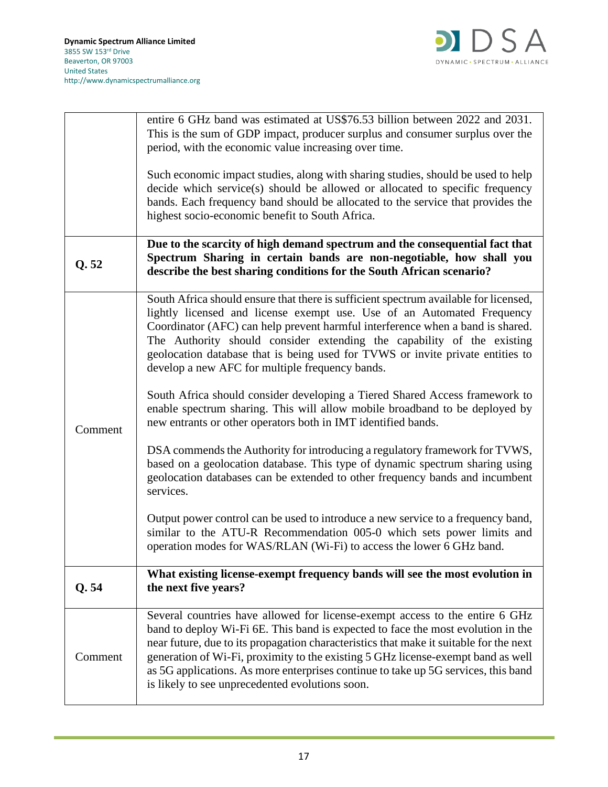

|         | entire 6 GHz band was estimated at US\$76.53 billion between 2022 and 2031.                                                                                                                                                |
|---------|----------------------------------------------------------------------------------------------------------------------------------------------------------------------------------------------------------------------------|
|         | This is the sum of GDP impact, producer surplus and consumer surplus over the<br>period, with the economic value increasing over time.                                                                                     |
|         |                                                                                                                                                                                                                            |
|         | Such economic impact studies, along with sharing studies, should be used to help                                                                                                                                           |
|         | decide which service(s) should be allowed or allocated to specific frequency                                                                                                                                               |
|         | bands. Each frequency band should be allocated to the service that provides the<br>highest socio-economic benefit to South Africa.                                                                                         |
|         |                                                                                                                                                                                                                            |
| Q.52    | Due to the scarcity of high demand spectrum and the consequential fact that<br>Spectrum Sharing in certain bands are non-negotiable, how shall you<br>describe the best sharing conditions for the South African scenario? |
|         | South Africa should ensure that there is sufficient spectrum available for licensed,                                                                                                                                       |
|         | lightly licensed and license exempt use. Use of an Automated Frequency                                                                                                                                                     |
|         | Coordinator (AFC) can help prevent harmful interference when a band is shared.                                                                                                                                             |
|         | The Authority should consider extending the capability of the existing<br>geolocation database that is being used for TVWS or invite private entities to                                                                   |
|         | develop a new AFC for multiple frequency bands.                                                                                                                                                                            |
|         |                                                                                                                                                                                                                            |
|         | South Africa should consider developing a Tiered Shared Access framework to<br>enable spectrum sharing. This will allow mobile broadband to be deployed by                                                                 |
| Comment | new entrants or other operators both in IMT identified bands.                                                                                                                                                              |
|         |                                                                                                                                                                                                                            |
|         | DSA commends the Authority for introducing a regulatory framework for TVWS,<br>based on a geolocation database. This type of dynamic spectrum sharing using                                                                |
|         | geolocation databases can be extended to other frequency bands and incumbent                                                                                                                                               |
|         | services.                                                                                                                                                                                                                  |
|         | Output power control can be used to introduce a new service to a frequency band,                                                                                                                                           |
|         | similar to the ATU-R Recommendation 005-0 which sets power limits and                                                                                                                                                      |
|         | operation modes for WAS/RLAN (Wi-Fi) to access the lower 6 GHz band.                                                                                                                                                       |
|         | What existing license-exempt frequency bands will see the most evolution in                                                                                                                                                |
| Q.54    | the next five years?                                                                                                                                                                                                       |
|         |                                                                                                                                                                                                                            |
| Comment | Several countries have allowed for license-exempt access to the entire 6 GHz<br>band to deploy Wi-Fi 6E. This band is expected to face the most evolution in the                                                           |
|         | near future, due to its propagation characteristics that make it suitable for the next                                                                                                                                     |
|         | generation of Wi-Fi, proximity to the existing 5 GHz license-exempt band as well                                                                                                                                           |
|         | as 5G applications. As more enterprises continue to take up 5G services, this band<br>is likely to see unprecedented evolutions soon.                                                                                      |
|         |                                                                                                                                                                                                                            |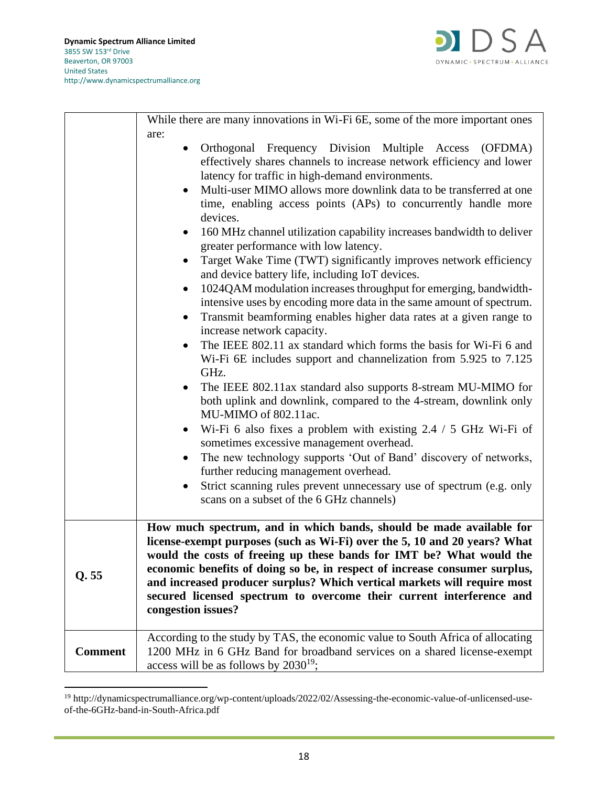

|                | While there are many innovations in Wi-Fi 6E, some of the more important ones                                                                                                                                                                                                                                                                                                                                                                                                                                                                                                                                                                                                                                                                                                                                                                                                                                                                                                                                                                                                                                                                                                                                                                                                                                                                                                                                                                                                                                                                                                         |
|----------------|---------------------------------------------------------------------------------------------------------------------------------------------------------------------------------------------------------------------------------------------------------------------------------------------------------------------------------------------------------------------------------------------------------------------------------------------------------------------------------------------------------------------------------------------------------------------------------------------------------------------------------------------------------------------------------------------------------------------------------------------------------------------------------------------------------------------------------------------------------------------------------------------------------------------------------------------------------------------------------------------------------------------------------------------------------------------------------------------------------------------------------------------------------------------------------------------------------------------------------------------------------------------------------------------------------------------------------------------------------------------------------------------------------------------------------------------------------------------------------------------------------------------------------------------------------------------------------------|
|                | are:<br>Orthogonal Frequency Division Multiple Access (OFDMA)<br>effectively shares channels to increase network efficiency and lower<br>latency for traffic in high-demand environments.<br>Multi-user MIMO allows more downlink data to be transferred at one<br>time, enabling access points (APs) to concurrently handle more<br>devices.<br>160 MHz channel utilization capability increases bandwidth to deliver<br>$\bullet$<br>greater performance with low latency.<br>Target Wake Time (TWT) significantly improves network efficiency<br>and device battery life, including IoT devices.<br>1024QAM modulation increases throughput for emerging, bandwidth-<br>intensive uses by encoding more data in the same amount of spectrum.<br>Transmit beamforming enables higher data rates at a given range to<br>$\bullet$<br>increase network capacity.<br>The IEEE 802.11 ax standard which forms the basis for Wi-Fi 6 and<br>$\bullet$<br>Wi-Fi 6E includes support and channelization from 5.925 to 7.125<br>GHz.<br>The IEEE 802.11ax standard also supports 8-stream MU-MIMO for<br>$\bullet$<br>both uplink and downlink, compared to the 4-stream, downlink only<br>MU-MIMO of 802.11ac.<br>Wi-Fi 6 also fixes a problem with existing $2.4 / 5$ GHz Wi-Fi of<br>$\bullet$<br>sometimes excessive management overhead.<br>The new technology supports 'Out of Band' discovery of networks,<br>$\bullet$<br>further reducing management overhead.<br>Strict scanning rules prevent unnecessary use of spectrum (e.g. only<br>scans on a subset of the 6 GHz channels) |
| Q.55           | How much spectrum, and in which bands, should be made available for<br>license-exempt purposes (such as Wi-Fi) over the 5, 10 and 20 years? What<br>would the costs of freeing up these bands for IMT be? What would the<br>economic benefits of doing so be, in respect of increase consumer surplus,<br>and increased producer surplus? Which vertical markets will require most<br>secured licensed spectrum to overcome their current interference and<br>congestion issues?                                                                                                                                                                                                                                                                                                                                                                                                                                                                                                                                                                                                                                                                                                                                                                                                                                                                                                                                                                                                                                                                                                      |
| <b>Comment</b> | According to the study by TAS, the economic value to South Africa of allocating<br>1200 MHz in 6 GHz Band for broadband services on a shared license-exempt<br>access will be as follows by $2030^{19}$ ;                                                                                                                                                                                                                                                                                                                                                                                                                                                                                                                                                                                                                                                                                                                                                                                                                                                                                                                                                                                                                                                                                                                                                                                                                                                                                                                                                                             |

<sup>19</sup> http://dynamicspectrumalliance.org/wp-content/uploads/2022/02/Assessing-the-economic-value-of-unlicensed-useof-the-6GHz-band-in-South-Africa.pdf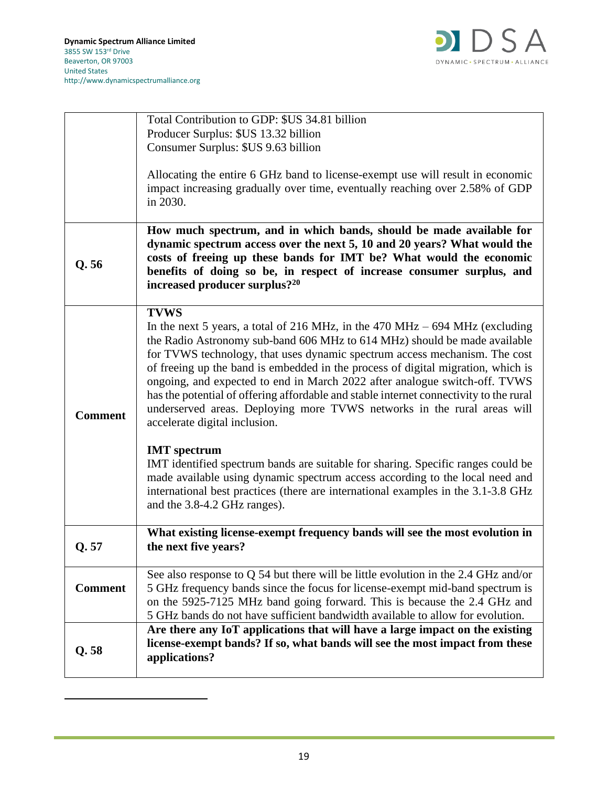

|                | Total Contribution to GDP: \$US 34.81 billion                                          |
|----------------|----------------------------------------------------------------------------------------|
|                | Producer Surplus: \$US 13.32 billion                                                   |
|                | Consumer Surplus: \$US 9.63 billion                                                    |
|                |                                                                                        |
|                | Allocating the entire 6 GHz band to license-exempt use will result in economic         |
|                | impact increasing gradually over time, eventually reaching over 2.58% of GDP           |
|                | in 2030.                                                                               |
|                |                                                                                        |
|                | How much spectrum, and in which bands, should be made available for                    |
|                | dynamic spectrum access over the next 5, 10 and 20 years? What would the               |
| Q.56           | costs of freeing up these bands for IMT be? What would the economic                    |
|                | benefits of doing so be, in respect of increase consumer surplus, and                  |
|                | increased producer surplus? <sup>20</sup>                                              |
|                |                                                                                        |
|                | <b>TVWS</b>                                                                            |
|                | In the next 5 years, a total of 216 MHz, in the $470$ MHz $-694$ MHz (excluding        |
|                | the Radio Astronomy sub-band 606 MHz to 614 MHz) should be made available              |
|                | for TVWS technology, that uses dynamic spectrum access mechanism. The cost             |
|                | of freeing up the band is embedded in the process of digital migration, which is       |
|                | ongoing, and expected to end in March 2022 after analogue switch-off. TVWS             |
|                | has the potential of offering affordable and stable internet connectivity to the rural |
| <b>Comment</b> | underserved areas. Deploying more TVWS networks in the rural areas will                |
|                | accelerate digital inclusion.                                                          |
|                | <b>IMT</b> spectrum                                                                    |
|                | IMT identified spectrum bands are suitable for sharing. Specific ranges could be       |
|                | made available using dynamic spectrum access according to the local need and           |
|                | international best practices (there are international examples in the 3.1-3.8 GHz      |
|                | and the 3.8-4.2 GHz ranges).                                                           |
|                |                                                                                        |
|                | What existing license-exempt frequency bands will see the most evolution in            |
| Q.57           | the next five years?                                                                   |
|                |                                                                                        |
|                | See also response to $Q$ 54 but there will be little evolution in the 2.4 GHz and/or   |
| <b>Comment</b> | 5 GHz frequency bands since the focus for license-exempt mid-band spectrum is          |
|                | on the 5925-7125 MHz band going forward. This is because the 2.4 GHz and               |
|                | 5 GHz bands do not have sufficient bandwidth available to allow for evolution.         |
|                | Are there any IoT applications that will have a large impact on the existing           |
| Q.58           | license-exempt bands? If so, what bands will see the most impact from these            |
|                | applications?                                                                          |
|                |                                                                                        |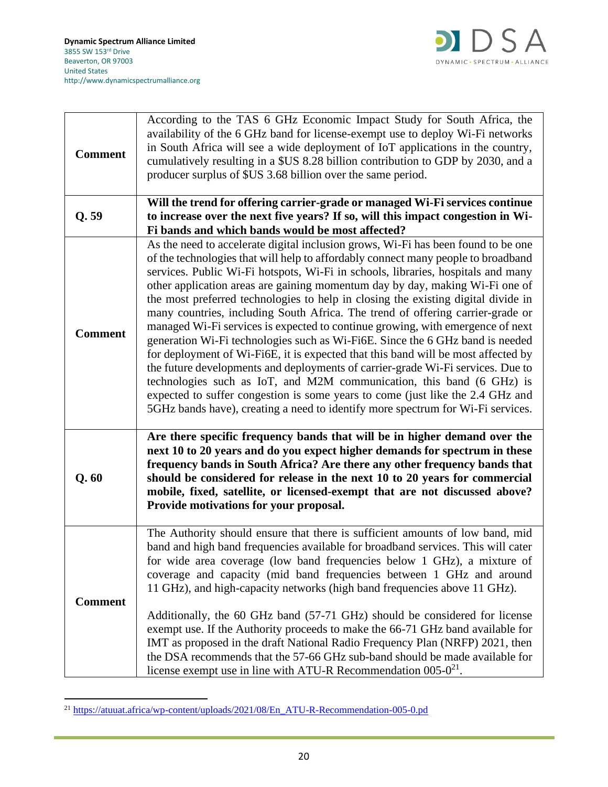

| <b>Comment</b> | According to the TAS 6 GHz Economic Impact Study for South Africa, the<br>availability of the 6 GHz band for license-exempt use to deploy Wi-Fi networks<br>in South Africa will see a wide deployment of IoT applications in the country,<br>cumulatively resulting in a \$US 8.28 billion contribution to GDP by 2030, and a<br>producer surplus of \$US 3.68 billion over the same period.                                                                                                                                                                                                                                                                                                                                                                                                                                                                                                                                                                                                                                                                                                              |
|----------------|------------------------------------------------------------------------------------------------------------------------------------------------------------------------------------------------------------------------------------------------------------------------------------------------------------------------------------------------------------------------------------------------------------------------------------------------------------------------------------------------------------------------------------------------------------------------------------------------------------------------------------------------------------------------------------------------------------------------------------------------------------------------------------------------------------------------------------------------------------------------------------------------------------------------------------------------------------------------------------------------------------------------------------------------------------------------------------------------------------|
| Q.59           | Will the trend for offering carrier-grade or managed Wi-Fi services continue<br>to increase over the next five years? If so, will this impact congestion in Wi-<br>Fi bands and which bands would be most affected?                                                                                                                                                                                                                                                                                                                                                                                                                                                                                                                                                                                                                                                                                                                                                                                                                                                                                        |
| <b>Comment</b> | As the need to accelerate digital inclusion grows, Wi-Fi has been found to be one<br>of the technologies that will help to affordably connect many people to broadband<br>services. Public Wi-Fi hotspots, Wi-Fi in schools, libraries, hospitals and many<br>other application areas are gaining momentum day by day, making Wi-Fi one of<br>the most preferred technologies to help in closing the existing digital divide in<br>many countries, including South Africa. The trend of offering carrier-grade or<br>managed Wi-Fi services is expected to continue growing, with emergence of next<br>generation Wi-Fi technologies such as Wi-Fi6E. Since the 6 GHz band is needed<br>for deployment of Wi-Fi6E, it is expected that this band will be most affected by<br>the future developments and deployments of carrier-grade Wi-Fi services. Due to<br>technologies such as IoT, and M2M communication, this band (6 GHz) is<br>expected to suffer congestion is some years to come (just like the 2.4 GHz and<br>5GHz bands have), creating a need to identify more spectrum for Wi-Fi services. |
| Q.60           | Are there specific frequency bands that will be in higher demand over the<br>next 10 to 20 years and do you expect higher demands for spectrum in these<br>frequency bands in South Africa? Are there any other frequency bands that<br>should be considered for release in the next 10 to 20 years for commercial<br>mobile, fixed, satellite, or licensed-exempt that are not discussed above?<br>Provide motivations for your proposal.                                                                                                                                                                                                                                                                                                                                                                                                                                                                                                                                                                                                                                                                 |
| <b>Comment</b> | The Authority should ensure that there is sufficient amounts of low band, mid<br>band and high band frequencies available for broadband services. This will cater<br>for wide area coverage (low band frequencies below 1 GHz), a mixture of<br>coverage and capacity (mid band frequencies between 1 GHz and around<br>11 GHz), and high-capacity networks (high band frequencies above 11 GHz).<br>Additionally, the 60 GHz band (57-71 GHz) should be considered for license<br>exempt use. If the Authority proceeds to make the 66-71 GHz band available for<br>IMT as proposed in the draft National Radio Frequency Plan (NRFP) 2021, then<br>the DSA recommends that the 57-66 GHz sub-band should be made available for<br>license exempt use in line with ATU-R Recommendation $005-0^{21}$ .                                                                                                                                                                                                                                                                                                    |

<sup>&</sup>lt;sup>21</sup> [https://atuuat.africa/wp-content/uploads/2021/08/En\\_ATU-R-Recommendation-005-0.pd](https://atuuat.africa/wp-content/uploads/2021/08/En_ATU-R-Recommendation-005-0.pd)